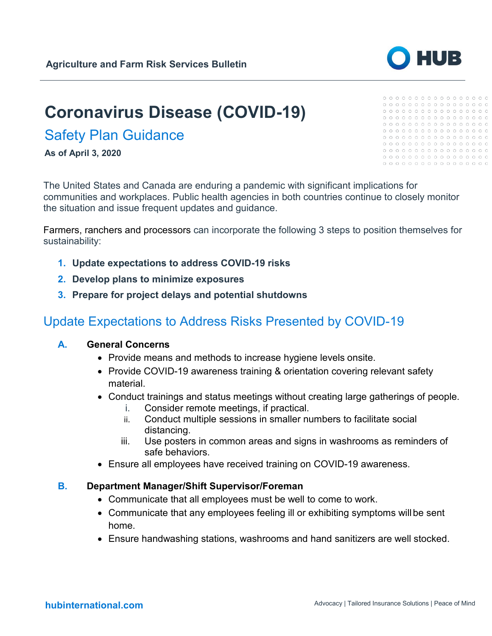# **Coronavirus Disease (COVID-19)**

# Safety Plan Guidance

**As of April 3, 2020**

The United States and Canada are enduring a pandemic with significant implications for communities and workplaces. Public health agencies in both countries continue to closely monitor the situation and issue frequent updates and guidance.

Farmers, ranchers and processors can incorporate the following 3 steps to position themselves for sustainability:

- **1. Update expectations to address COVID-19 risks**
- **2. Develop plans to minimize exposures**
- **3. Prepare for project delays and potential shutdowns**

# Update Expectations to Address Risks Presented by COVID-19

#### **A. General Concerns**

- Provide means and methods to increase hygiene levels onsite.
- Provide COVID-19 awareness training & orientation covering relevant safety material.
- Conduct trainings and status meetings without creating large gatherings of people.
	- i. Consider remote meetings, if practical.
	- ii. Conduct multiple sessions in smaller numbers to facilitate social distancing.
	- iii. Use posters in common areas and signs in washrooms as reminders of safe behaviors.
- Ensure all employees have received training on COVID-19 awareness.

#### **B. Department Manager/Shift Supervisor/Foreman**

- Communicate that all employees must be well to come to work.
- Communicate that any employees feeling ill or exhibiting symptoms will be sent home.
- Ensure handwashing stations, washrooms and hand sanitizers are well stocked.



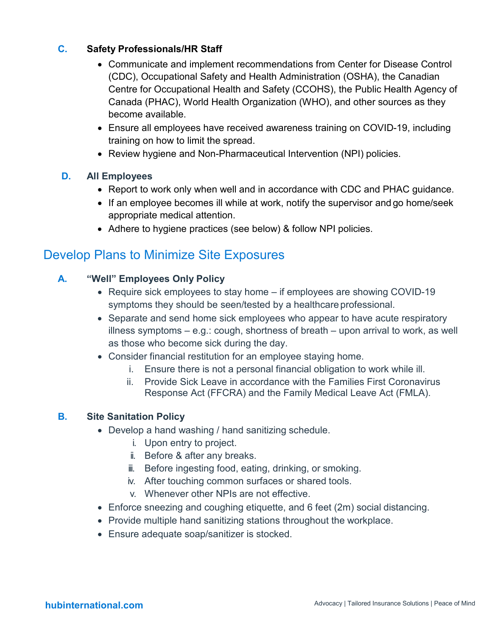#### **C. Safety Professionals/HR Staff**

- Communicate and implement recommendations from Center for Disease Control (CDC), Occupational Safety and Health Administration (OSHA), the Canadian Centre for Occupational Health and Safety (CCOHS), the Public Health Agency of Canada (PHAC), World Health Organization (WHO), and other sources as they become available.
- Ensure all employees have received awareness training on COVID-19, including training on how to limit the spread.
- Review hygiene and Non-Pharmaceutical Intervention (NPI) policies.

#### **D. All Employees**

- Report to work only when well and in accordance with CDC and PHAC guidance.
- If an employee becomes ill while at work, notify the supervisor and go home/seek appropriate medical attention.
- Adhere to hygiene practices (see below) & follow NPI policies.

### Develop Plans to Minimize Site Exposures

#### **A. "Well" Employees Only Policy**

- Require sick employees to stay home if employees are showing COVID-19 symptoms they should be seen/tested by a healthcare professional.
- Separate and send home sick employees who appear to have acute respiratory illness symptoms – e.g.: cough, shortness of breath – upon arrival to work, as well as those who become sick during the day.
- Consider financial restitution for an employee staying home.
	- i. Ensure there is not a personal financial obligation to work while ill.
	- ii. Provide Sick Leave in accordance with the Families First Coronavirus Response Act (FFCRA) and the Family Medical Leave Act (FMLA).

#### **B. Site Sanitation Policy**

- Develop a hand washing / hand sanitizing schedule.
	- i. Upon entry to project.
	- ii. Before & after any breaks.
	- iii. Before ingesting food, eating, drinking, or smoking.
	- iv. After touching common surfaces or shared tools.
	- v. Whenever other NPIs are not effective.
- Enforce sneezing and coughing etiquette, and 6 feet (2m) social distancing.
- Provide multiple hand sanitizing stations throughout the workplace.
- Ensure adequate soap/sanitizer is stocked.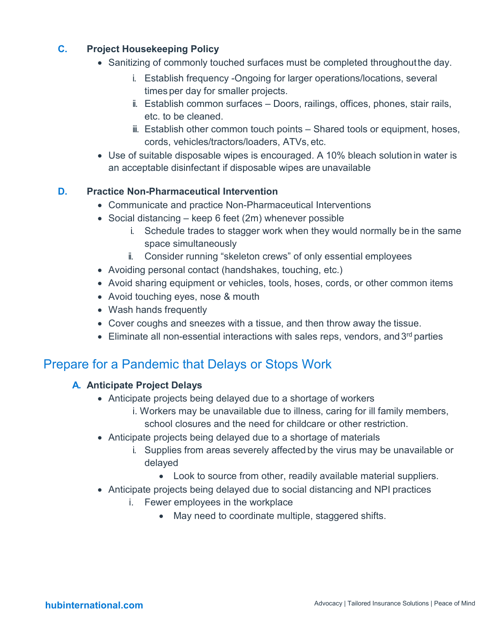#### **C. Project Housekeeping Policy**

- Sanitizing of commonly touched surfaces must be completed throughoutthe day.
	- i. Establish frequency -Ongoing for larger operations/locations, several times per day for smaller projects.
	- ii. Establish common surfaces Doors, railings, offices, phones, stair rails, etc. to be cleaned.
	- iii. Establish other common touch points Shared tools or equipment, hoses, cords, vehicles/tractors/loaders, ATVs, etc.
- Use of suitable disposable wipes is encouraged. A 10% bleach solution in water is an acceptable disinfectant if disposable wipes are unavailable

#### **D. Practice Non-Pharmaceutical Intervention**

- Communicate and practice Non-Pharmaceutical Interventions
- Social distancing keep 6 feet (2m) whenever possible
	- i. Schedule trades to stagger work when they would normally be in the same space simultaneously
	- ii. Consider running "skeleton crews" of only essential employees
- Avoiding personal contact (handshakes, touching, etc.)
- Avoid sharing equipment or vehicles, tools, hoses, cords, or other common items
- Avoid touching eyes, nose & mouth
- Wash hands frequently
- Cover coughs and sneezes with a tissue, and then throw away the tissue.
- Eliminate all non-essential interactions with sales reps, vendors, and  $3<sup>rd</sup>$  parties

### Prepare for a Pandemic that Delays or Stops Work

#### **A. Anticipate Project Delays**

- Anticipate projects being delayed due to a shortage of workers
	- i. Workers may be unavailable due to illness, caring for ill family members, school closures and the need for childcare or other restriction.
- Anticipate projects being delayed due to a shortage of materials
	- i. Supplies from areas severely affected by the virus may be unavailable or delayed
		- Look to source from other, readily available material suppliers.
- Anticipate projects being delayed due to social distancing and NPI practices
	- i. Fewer employees in the workplace
		- May need to coordinate multiple, staggered shifts.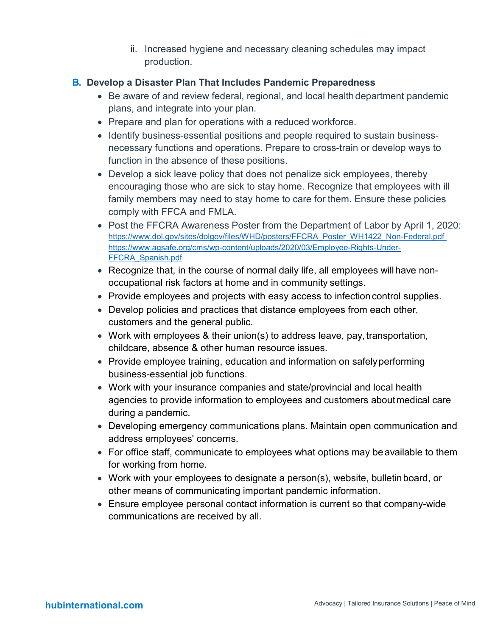ii. Increased hygiene and necessary cleaning schedules may impact production.

#### **B. Develop a Disaster Plan That Includes Pandemic Preparedness**

- Be aware of and review federal, regional, and local health department pandemic plans, and integrate into your plan.
- Prepare and plan for operations with a reduced workforce.
- Identify business-essential positions and people required to sustain businessnecessary functions and operations. Prepare to cross-train or develop ways to function in the absence of these positions.
- Develop a sick leave policy that does not penalize sick employees, thereby encouraging those who are sick to stay home. Recognize that employees with ill family members may need to stay home to care for them. Ensure these policies comply with FFCA and FMLA.
- Post the FFCRA Awareness Poster from the Department of Labor by April 1, 2020: [https://www.dol.gov/sites/dolgov/files/WHD/posters/FFCRA\\_Poster\\_WH1422\\_Non-Federal.pdf](https://www.dol.gov/sites/dolgov/files/WHD/posters/FFCRA_Poster_WH1422_Non-Federal.pdf) [https://www.agsafe.org/cms/wp-content/uploads/2020/03/Employee-Rights-Under-](https://www.agsafe.org/cms/wp-content/uploads/2020/03/Employee-Rights-Under-FFCRA_Spanish.pdf)[FFCRA\\_Spanish.pdf](https://www.agsafe.org/cms/wp-content/uploads/2020/03/Employee-Rights-Under-FFCRA_Spanish.pdf)
- Recognize that, in the course of normal daily life, all employees will have nonoccupational risk factors at home and in community settings.
- Provide employees and projects with easy access to infection control supplies.
- Develop policies and practices that distance employees from each other, customers and the general public.
- Work with employees & their union(s) to address leave, pay, transportation, childcare, absence & other human resource issues.
- Provide employee training, education and information on safely performing business-essential job functions.
- Work with your insurance companies and state/provincial and local health agencies to provide information to employees and customers aboutmedical care during a pandemic.
- Developing emergency communications plans. Maintain open communication and address employees' concerns.
- For office staff, communicate to employees what options may be available to them for working from home.
- Work with your employees to designate a person(s), website, bulletinboard, or other means of communicating important pandemic information.
- Ensure employee personal contact information is current so that company-wide communications are received by all.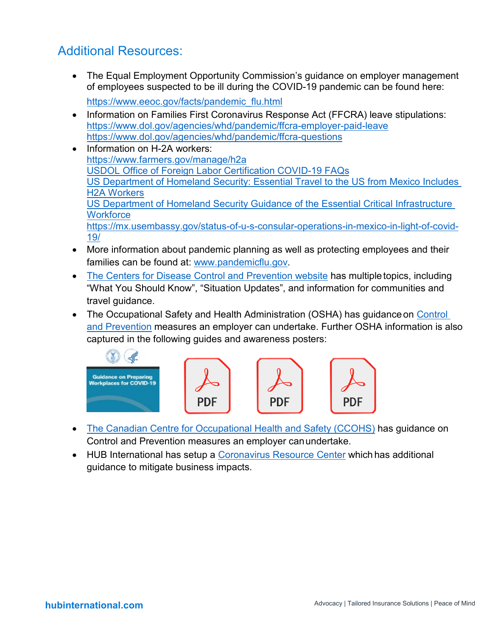# Additional Resources:

- The Equal Employment Opportunity Commission's quidance on employer management of employees suspected to be ill during the COVID-19 pandemic can be found here: [https://www.eeoc.gov/facts/pandemic\\_flu.html](https://www.eeoc.gov/facts/pandemic_flu.html)
- Information on Families First Coronavirus Response Act (FFCRA) leave stipulations: <https://www.dol.gov/agencies/whd/pandemic/ffcra-employer-paid-leave> <https://www.dol.gov/agencies/whd/pandemic/ffcra-questions>
- Information on H-2A workers: <https://www.farmers.gov/manage/h2a> [USDOL Office of Foreign Labor Certification COVID-19 FAQs](https://documentcloud.adobe.com/link/review?uri=urn%3Aaaid%3Ascds%3AUS%3A94315e65-087d-453b-9dec-8e3a0f9453f1) [US Department of Homeland Security: Essential Travel to the US from Mexico Includes](https://documentcloud.adobe.com/link/review?uri=urn%3Aaaid%3Ascds%3AUS%3A4aa7311a-68c0-4594-8c0a-dcc2025356b0)  [H2A Workers](https://documentcloud.adobe.com/link/review?uri=urn%3Aaaid%3Ascds%3AUS%3A4aa7311a-68c0-4594-8c0a-dcc2025356b0) [US Department of Homeland Security Guidance of the Essential Critical Infrastructure](https://documentcloud.adobe.com/link/review?uri=urn%3Aaaid%3Ascds%3AUS%3Ac738d755-ad94-4076-8aff-7a63a48f1904)  **[Workforce](https://documentcloud.adobe.com/link/review?uri=urn%3Aaaid%3Ascds%3AUS%3Ac738d755-ad94-4076-8aff-7a63a48f1904)** [https://mx.usembassy.gov/status-of-u-s-consular-operations-in-mexico-in-light-of-covid-](https://mx.usembassy.gov/status-of-u-s-consular-operations-in-mexico-in-light-of-covid-19/)[19/](https://mx.usembassy.gov/status-of-u-s-consular-operations-in-mexico-in-light-of-covid-19/)
- More information about pandemic planning as well as protecting employees and their families can be found at: [www.pandemicflu.gov.](http://www.pandemicflu.gov/)
- [The Centers for Disease Control and Prevention website](https://www.cdc.gov/coronavirus/2019-ncov/index.html) has multiple topics, including "What You Should Know", "Situation Updates", and information for communities and travel guidance.
- The Occupational Safety and Health Administration (OSHA) has quidance on Control and Prevention measures an employer can undertake. Further OSHA information is also captured in the following guides and awareness posters:



- [The Canadian Centre for Occupational Health and Safety \(CCOHS\)](https://www.ccohs.ca/topics/hazards/health/pandemics) has guidance on Control and Prevention measures an employer canundertake.
- HUB International has setup a [Coronavirus Resource Center](https://www.hubinternational.com/products/risk-services/hub-crisis-resources/coronavirus-resource-center/) which has additional guidance to mitigate business impacts.